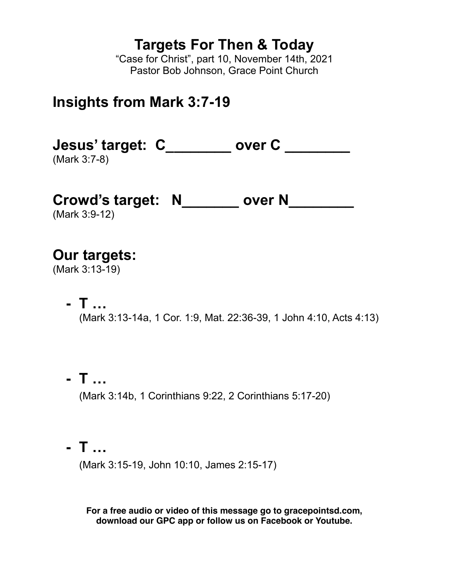# **Targets For Then & Today**

"Case for Christ", part 10, November 14th, 2021 Pastor Bob Johnson, Grace Point Church

# **Insights from Mark 3:7-19**

**Jesus' target: C\_\_\_\_\_\_\_\_ over C \_\_\_\_\_\_\_\_** (Mark 3:7-8)

**Crowd's target: N\_\_\_\_\_\_\_ over N\_\_\_\_\_\_\_\_**

(Mark 3:9-12)

**Our targets:** 

(Mark 3:13-19)

- **- T …**(Mark 3:13-14a, 1 Cor. 1:9, Mat. 22:36-39, 1 John 4:10, Acts 4:13)
- **- T …** (Mark 3:14b, 1 Corinthians 9:22, 2 Corinthians 5:17-20)
- **- T …**

(Mark 3:15-19, John 10:10, James 2:15-17)

**For a free audio or video of this message go to gracepointsd.com, download our GPC app or follow us on Facebook or Youtube.**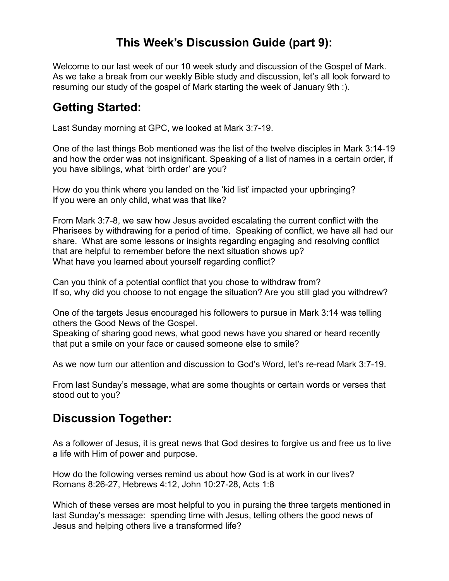# **This Week's Discussion Guide (part 9):**

Welcome to our last week of our 10 week study and discussion of the Gospel of Mark. As we take a break from our weekly Bible study and discussion, let's all look forward to resuming our study of the gospel of Mark starting the week of January 9th :).

# **Getting Started:**

Last Sunday morning at GPC, we looked at Mark 3:7-19.

One of the last things Bob mentioned was the list of the twelve disciples in Mark 3:14-19 and how the order was not insignificant. Speaking of a list of names in a certain order, if you have siblings, what 'birth order' are you?

How do you think where you landed on the 'kid list' impacted your upbringing? If you were an only child, what was that like?

From Mark 3:7-8, we saw how Jesus avoided escalating the current conflict with the Pharisees by withdrawing for a period of time. Speaking of conflict, we have all had our share. What are some lessons or insights regarding engaging and resolving conflict that are helpful to remember before the next situation shows up? What have you learned about yourself regarding conflict?

Can you think of a potential conflict that you chose to withdraw from? If so, why did you choose to not engage the situation? Are you still glad you withdrew?

One of the targets Jesus encouraged his followers to pursue in Mark 3:14 was telling others the Good News of the Gospel.

Speaking of sharing good news, what good news have you shared or heard recently that put a smile on your face or caused someone else to smile?

As we now turn our attention and discussion to God's Word, let's re-read Mark 3:7-19.

From last Sunday's message, what are some thoughts or certain words or verses that stood out to you?

# **Discussion Together:**

As a follower of Jesus, it is great news that God desires to forgive us and free us to live a life with Him of power and purpose.

How do the following verses remind us about how God is at work in our lives? Romans 8:26-27, Hebrews 4:12, John 10:27-28, Acts 1:8

Which of these verses are most helpful to you in pursing the three targets mentioned in last Sunday's message: spending time with Jesus, telling others the good news of Jesus and helping others live a transformed life?